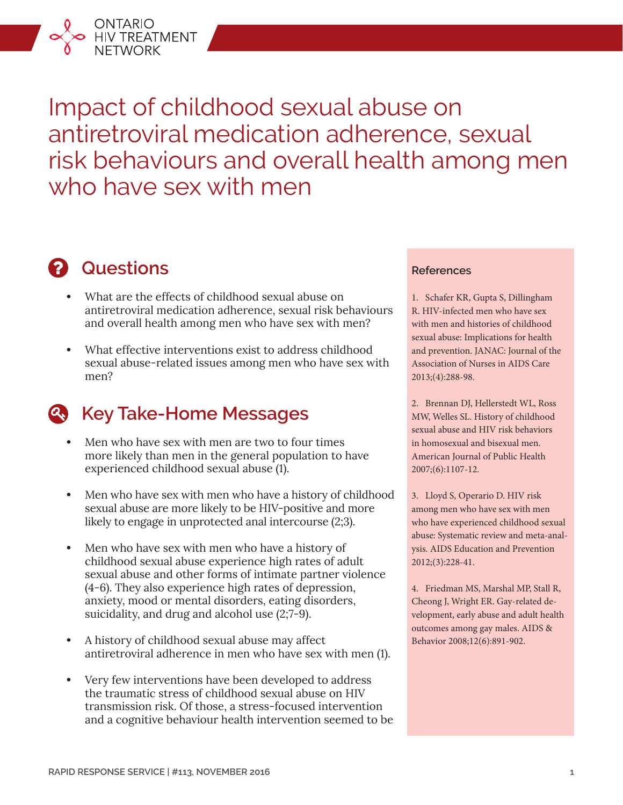

# **2** Questions

ONTARIO<br>HIV TREATMENT<br>NETWORK

- **•** What are the effects of childhood sexual abuse on antiretroviral medication adherence, sexual risk behaviours and overall health among men who have sex with men?
- **•** What effective interventions exist to address childhood sexual abuse-related issues among men who have sex with men?

## **Key Take-Home Messages**

- **•** Men who have sex with men are two to four times more likely than men in the general population to have experienced childhood sexual abuse (1).
- **•** Men who have sex with men who have a history of childhood sexual abuse are more likely to be HIV-positive and more likely to engage in unprotected anal intercourse (2;3).
- **•** Men who have sex with men who have a history of childhood sexual abuse experience high rates of adult sexual abuse and other forms of intimate partner violence (4-6). They also experience high rates of depression, anxiety, mood or mental disorders, eating disorders, suicidality, and drug and alcohol use (2;7-9).
- **•** A history of childhood sexual abuse may affect antiretroviral adherence in men who have sex with men (1).
- **•** Very few interventions have been developed to address the traumatic stress of childhood sexual abuse on HIV transmission risk. Of those, a stress-focused intervention and a cognitive behaviour health intervention seemed to be

#### **References**

1. Schafer KR, Gupta S, Dillingham R. HIV-infected men who have sex with men and histories of childhood sexual abuse: Implications for health and prevention. JANAC: Journal of the Association of Nurses in AIDS Care 2013;(4):288-98.

2. Brennan DJ, Hellerstedt WL, Ross MW, Welles SL. History of childhood sexual abuse and HIV risk behaviors in homosexual and bisexual men. American Journal of Public Health 2007;(6):1107-12.

3. Lloyd S, Operario D. HIV risk among men who have sex with men who have experienced childhood sexual abuse: Systematic review and meta-analysis. AIDS Education and Prevention 2012;(3):228-41.

4. Friedman MS, Marshal MP, Stall R, Cheong J, Wright ER. Gay-related development, early abuse and adult health outcomes among gay males. AIDS & Behavior 2008;12(6):891-902.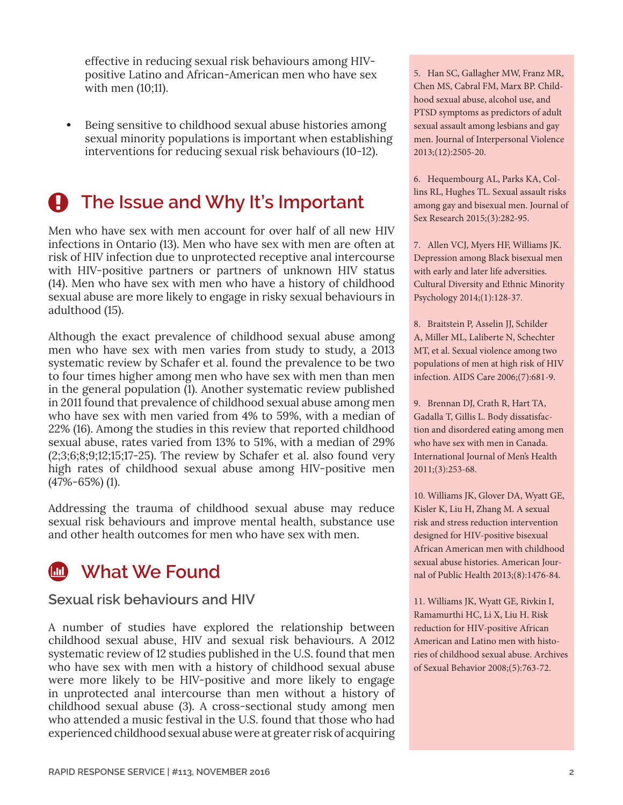effective in reducing sexual risk behaviours among HIVpositive Latino and African-American men who have sex with men (10;11).

**•** Being sensitive to childhood sexual abuse histories among sexual minority populations is important when establishing interventions for reducing sexual risk behaviours (10-12).

# **4** The Issue and Why It's Important

Men who have sex with men account for over half of all new HIV infections in Ontario (13). Men who have sex with men are often at risk of HIV infection due to unprotected receptive anal intercourse with HIV-positive partners or partners of unknown HIV status (14). Men who have sex with men who have a history of childhood sexual abuse are more likely to engage in risky sexual behaviours in adulthood (15).

Although the exact prevalence of childhood sexual abuse among men who have sex with men varies from study to study, a 2013 systematic review by Schafer et al. found the prevalence to be two to four times higher among men who have sex with men than men in the general population (1). Another systematic review published in 2011 found that prevalence of childhood sexual abuse among men who have sex with men varied from 4% to 59%, with a median of 22% (16). Among the studies in this review that reported childhood sexual abuse, rates varied from 13% to 51%, with a median of 29%  $(2,3,6,8,9,12,15,17-25)$ . The review by Schafer et al. also found very high rates of childhood sexual abuse among HIV-positive men (47%-65%) (1).

Addressing the trauma of childhood sexual abuse may reduce sexual risk behaviours and improve mental health, substance use and other health outcomes for men who have sex with men.



#### **Sexual risk behaviours and HIV**

A number of studies have explored the relationship between childhood sexual abuse, HIV and sexual risk behaviours. A 2012 systematic review of 12 studies published in the U.S. found that men who have sex with men with a history of childhood sexual abuse were more likely to be HIV-positive and more likely to engage in unprotected anal intercourse than men without a history of childhood sexual abuse (3). A cross-sectional study among men who attended a music festival in the U.S. found that those who had experienced childhood sexual abuse were at greater risk of acquiring 5. Han SC, Gallagher MW, Franz MR, Chen MS, Cabral FM, Marx BP. Childhood sexual abuse, alcohol use, and PTSD symptoms as predictors of adult sexual assault among lesbians and gay men. Journal of Interpersonal Violence 2013;(12):2505-20.

6. Hequembourg AL, Parks KA, Collins RL, Hughes TL. Sexual assault risks among gay and bisexual men. Journal of Sex Research 2015;(3):282-95.

7. Allen VCJ, Myers HF, Williams JK. Depression among Black bisexual men with early and later life adversities. Cultural Diversity and Ethnic Minority Psychology 2014;(1):128-37.

8. Braitstein P, Asselin JJ, Schilder A, Miller ML, Laliberte N, Schechter MT, et al. Sexual violence among two populations of men at high risk of HIV infection. AIDS Care 2006;(7):681-9.

9. Brennan DJ, Crath R, Hart TA, Gadalla T, Gillis L. Body dissatisfaction and disordered eating among men who have sex with men in Canada. International Journal of Men's Health 2011;(3):253-68.

10. Williams JK, Glover DA, Wyatt GE, Kisler K, Liu H, Zhang M. A sexual risk and stress reduction intervention designed for HIV-positive bisexual African American men with childhood sexual abuse histories. American Journal of Public Health 2013;(8):1476-84.

11. Williams JK, Wyatt GE, Rivkin I, Ramamurthi HC, Li X, Liu H. Risk reduction for HIV-positive African American and Latino men with histories of childhood sexual abuse. Archives of Sexual Behavior 2008;(5):763-72.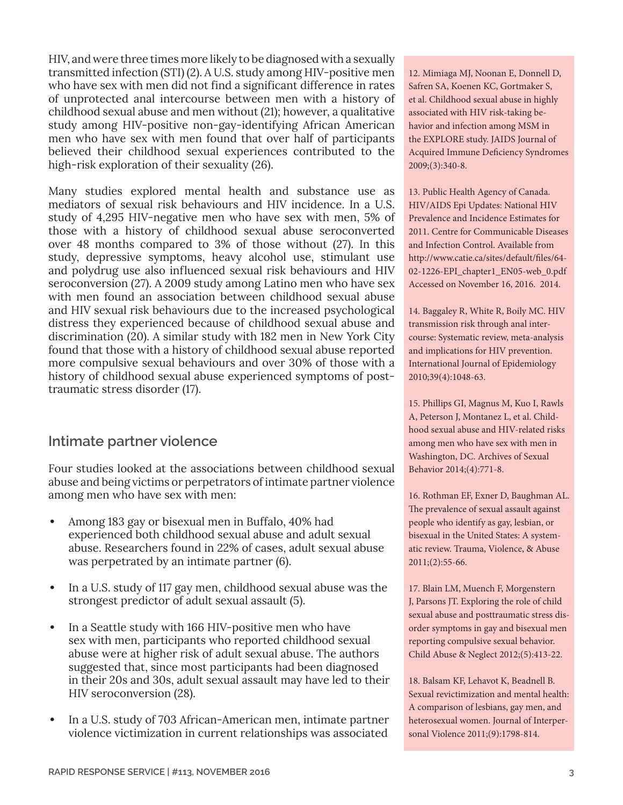HIV, and were three times more likely to be diagnosed with a sexually transmitted infection (STI) (2). A U.S. study among HIV-positive men who have sex with men did not find a significant difference in rates of unprotected anal intercourse between men with a history of childhood sexual abuse and men without (21); however, a qualitative study among HIV-positive non-gay-identifying African American men who have sex with men found that over half of participants believed their childhood sexual experiences contributed to the high-risk exploration of their sexuality (26).

Many studies explored mental health and substance use as mediators of sexual risk behaviours and HIV incidence. In a U.S. study of 4,295 HIV-negative men who have sex with men, 5% of those with a history of childhood sexual abuse seroconverted over 48 months compared to 3% of those without (27). In this study, depressive symptoms, heavy alcohol use, stimulant use and polydrug use also influenced sexual risk behaviours and HIV seroconversion (27). A 2009 study among Latino men who have sex with men found an association between childhood sexual abuse and HIV sexual risk behaviours due to the increased psychological distress they experienced because of childhood sexual abuse and discrimination (20). A similar study with 182 men in New York City found that those with a history of childhood sexual abuse reported more compulsive sexual behaviours and over 30% of those with a history of childhood sexual abuse experienced symptoms of posttraumatic stress disorder (17).

### **Intimate partner violence**

Four studies looked at the associations between childhood sexual abuse and being victims or perpetrators of intimate partner violence among men who have sex with men:

- **•** Among 183 gay or bisexual men in Buffalo, 40% had experienced both childhood sexual abuse and adult sexual abuse. Researchers found in 22% of cases, adult sexual abuse was perpetrated by an intimate partner (6).
- **•** In a U.S. study of 117 gay men, childhood sexual abuse was the strongest predictor of adult sexual assault (5).
- **•** In a Seattle study with 166 HIV-positive men who have sex with men, participants who reported childhood sexual abuse were at higher risk of adult sexual abuse. The authors suggested that, since most participants had been diagnosed in their 20s and 30s, adult sexual assault may have led to their HIV seroconversion (28).
- **•** In a U.S. study of 703 African-American men, intimate partner violence victimization in current relationships was associated

12. Mimiaga MJ, Noonan E, Donnell D, Safren SA, Koenen KC, Gortmaker S, et al. Childhood sexual abuse in highly associated with HIV risk-taking behavior and infection among MSM in the EXPLORE study. JAIDS Journal of Acquired Immune Deficiency Syndromes 2009;(3):340-8.

13. Public Health Agency of Canada. HIV/AIDS Epi Updates: National HIV Prevalence and Incidence Estimates for 2011. Centre for Communicable Diseases and Infection Control. Available from http://www.catie.ca/sites/default/files/64- 02-1226-EPI\_chapter1\_EN05-web\_0.pdf Accessed on November 16, 2016. 2014.

14. Baggaley R, White R, Boily MC. HIV transmission risk through anal intercourse: Systematic review, meta-analysis and implications for HIV prevention. International Journal of Epidemiology 2010;39(4):1048-63.

15. Phillips GI, Magnus M, Kuo I, Rawls A, Peterson J, Montanez L, et al. Childhood sexual abuse and HIV-related risks among men who have sex with men in Washington, DC. Archives of Sexual Behavior 2014;(4):771-8.

16. Rothman EF, Exner D, Baughman AL. The prevalence of sexual assault against people who identify as gay, lesbian, or bisexual in the United States: A systematic review. Trauma, Violence, & Abuse 2011;(2):55-66.

17. Blain LM, Muench F, Morgenstern J, Parsons JT. Exploring the role of child sexual abuse and posttraumatic stress disorder symptoms in gay and bisexual men reporting compulsive sexual behavior. Child Abuse & Neglect 2012;(5):413-22.

18. Balsam KF, Lehavot K, Beadnell B. Sexual revictimization and mental health: A comparison of lesbians, gay men, and heterosexual women. Journal of Interpersonal Violence 2011;(9):1798-814.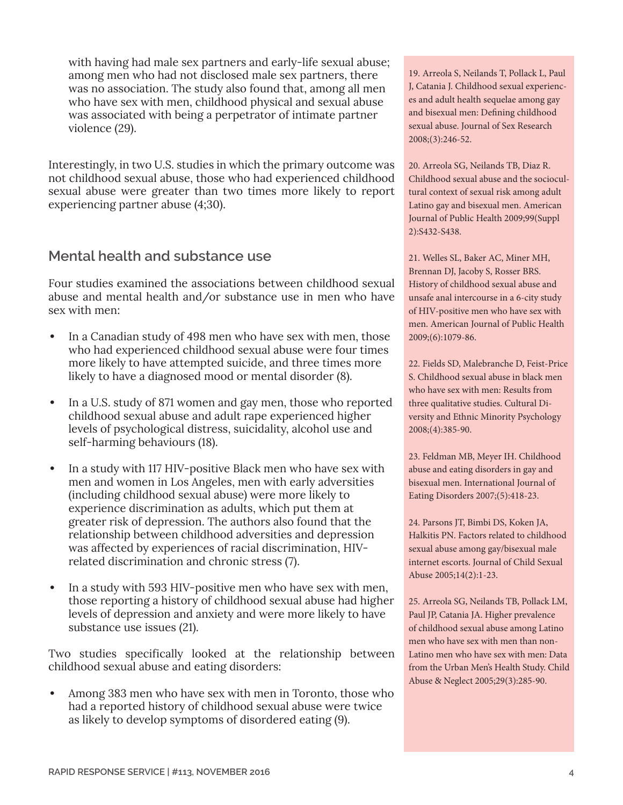with having had male sex partners and early-life sexual abuse; among men who had not disclosed male sex partners, there was no association. The study also found that, among all men who have sex with men, childhood physical and sexual abuse was associated with being a perpetrator of intimate partner violence (29).

Interestingly, in two U.S. studies in which the primary outcome was not childhood sexual abuse, those who had experienced childhood sexual abuse were greater than two times more likely to report experiencing partner abuse (4;30).

### **Mental health and substance use**

Four studies examined the associations between childhood sexual abuse and mental health and/or substance use in men who have sex with men:

- **•** In a Canadian study of 498 men who have sex with men, those who had experienced childhood sexual abuse were four times more likely to have attempted suicide, and three times more likely to have a diagnosed mood or mental disorder (8).
- **•** In a U.S. study of 871 women and gay men, those who reported childhood sexual abuse and adult rape experienced higher levels of psychological distress, suicidality, alcohol use and self-harming behaviours (18).
- **•** In a study with 117 HIV-positive Black men who have sex with men and women in Los Angeles, men with early adversities (including childhood sexual abuse) were more likely to experience discrimination as adults, which put them at greater risk of depression. The authors also found that the relationship between childhood adversities and depression was affected by experiences of racial discrimination, HIVrelated discrimination and chronic stress (7).
- **•** In a study with 593 HIV-positive men who have sex with men, those reporting a history of childhood sexual abuse had higher levels of depression and anxiety and were more likely to have substance use issues (21).

Two studies specifically looked at the relationship between childhood sexual abuse and eating disorders:

**•** Among 383 men who have sex with men in Toronto, those who had a reported history of childhood sexual abuse were twice as likely to develop symptoms of disordered eating (9).

19. Arreola S, Neilands T, Pollack L, Paul J, Catania J. Childhood sexual experiences and adult health sequelae among gay and bisexual men: Defining childhood sexual abuse. Journal of Sex Research 2008;(3):246-52.

20. Arreola SG, Neilands TB, Diaz R. Childhood sexual abuse and the sociocultural context of sexual risk among adult Latino gay and bisexual men. American Journal of Public Health 2009;99(Suppl 2):S432-S438.

21. Welles SL, Baker AC, Miner MH, Brennan DJ, Jacoby S, Rosser BRS. History of childhood sexual abuse and unsafe anal intercourse in a 6-city study of HIV-positive men who have sex with men. American Journal of Public Health 2009;(6):1079-86.

22. Fields SD, Malebranche D, Feist-Price S. Childhood sexual abuse in black men who have sex with men: Results from three qualitative studies. Cultural Diversity and Ethnic Minority Psychology 2008;(4):385-90.

23. Feldman MB, Meyer IH. Childhood abuse and eating disorders in gay and bisexual men. International Journal of Eating Disorders 2007;(5):418-23.

24. Parsons JT, Bimbi DS, Koken JA, Halkitis PN. Factors related to childhood sexual abuse among gay/bisexual male internet escorts. Journal of Child Sexual Abuse 2005;14(2):1-23.

25. Arreola SG, Neilands TB, Pollack LM, Paul JP, Catania JA. Higher prevalence of childhood sexual abuse among Latino men who have sex with men than non-Latino men who have sex with men: Data from the Urban Men's Health Study. Child Abuse & Neglect 2005;29(3):285-90.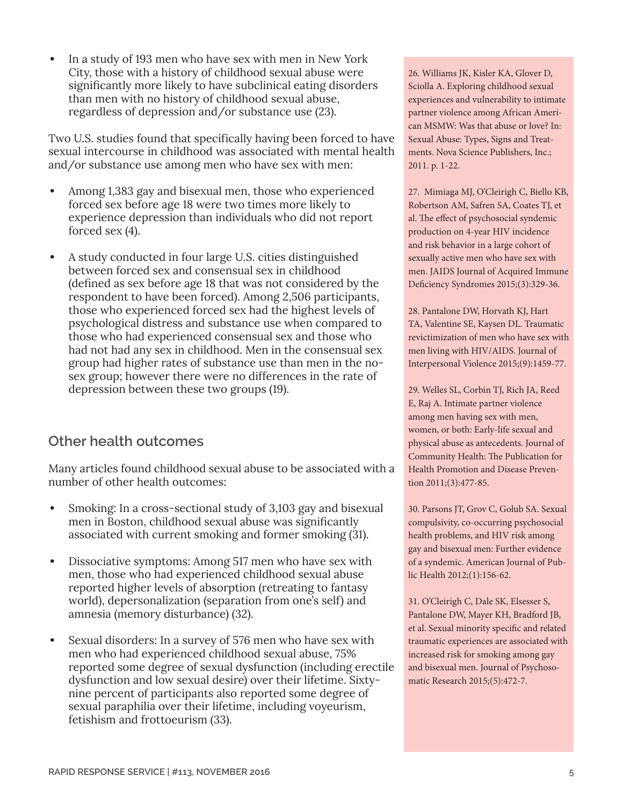**•** In a study of 193 men who have sex with men in New York City, those with a history of childhood sexual abuse were significantly more likely to have subclinical eating disorders than men with no history of childhood sexual abuse, regardless of depression and/or substance use (23).

Two U.S. studies found that specifically having been forced to have sexual intercourse in childhood was associated with mental health and/or substance use among men who have sex with men:

- **•** Among 1,383 gay and bisexual men, those who experienced forced sex before age 18 were two times more likely to experience depression than individuals who did not report forced sex (4).
- **•** A study conducted in four large U.S. cities distinguished between forced sex and consensual sex in childhood (defined as sex before age 18 that was not considered by the respondent to have been forced). Among 2,506 participants, those who experienced forced sex had the highest levels of psychological distress and substance use when compared to those who had experienced consensual sex and those who had not had any sex in childhood. Men in the consensual sex group had higher rates of substance use than men in the nosex group; however there were no differences in the rate of depression between these two groups (19).

### **Other health outcomes**

Many articles found childhood sexual abuse to be associated with a number of other health outcomes:

- **•** Smoking: In a cross-sectional study of 3,103 gay and bisexual men in Boston, childhood sexual abuse was significantly associated with current smoking and former smoking (31).
- **•** Dissociative symptoms: Among 517 men who have sex with men, those who had experienced childhood sexual abuse reported higher levels of absorption (retreating to fantasy world), depersonalization (separation from one's self) and amnesia (memory disturbance) (32).
- **•** Sexual disorders: In a survey of 576 men who have sex with men who had experienced childhood sexual abuse, 75% reported some degree of sexual dysfunction (including erectile dysfunction and low sexual desire) over their lifetime. Sixtynine percent of participants also reported some degree of sexual paraphilia over their lifetime, including voyeurism, fetishism and frottoeurism (33).

26. Williams JK, Kisler KA, Glover D, Sciolla A. Exploring childhood sexual experiences and vulnerability to intimate partner violence among African American MSMW: Was that abuse or love? In: Sexual Abuse: Types, Signs and Treatments. Nova Science Publishers, Inc.; 2011. p. 1-22.

27. Mimiaga MJ, O'Cleirigh C, Biello KB, Robertson AM, Safren SA, Coates TJ, et al. The effect of psychosocial syndemic production on 4-year HIV incidence and risk behavior in a large cohort of sexually active men who have sex with men. JAIDS Journal of Acquired Immune Deficiency Syndromes 2015;(3):329-36.

28. Pantalone DW, Horvath KJ, Hart TA, Valentine SE, Kaysen DL. Traumatic revictimization of men who have sex with men living with HIV/AIDS. Journal of Interpersonal Violence 2015;(9):1459-77.

29. Welles SL, Corbin TJ, Rich JA, Reed E, Raj A. Intimate partner violence among men having sex with men, women, or both: Early-life sexual and physical abuse as antecedents. Journal of Community Health: The Publication for Health Promotion and Disease Prevention 2011;(3):477-85.

30. Parsons JT, Grov C, Golub SA. Sexual compulsivity, co-occurring psychosocial health problems, and HIV risk among gay and bisexual men: Further evidence of a syndemic. American Journal of Public Health 2012;(1):156-62.

31. O'Cleirigh C, Dale SK, Elsesser S, Pantalone DW, Mayer KH, Bradford JB, et al. Sexual minority specific and related traumatic experiences are associated with increased risk for smoking among gay and bisexual men. Journal of Psychosomatic Research 2015;(5):472-7.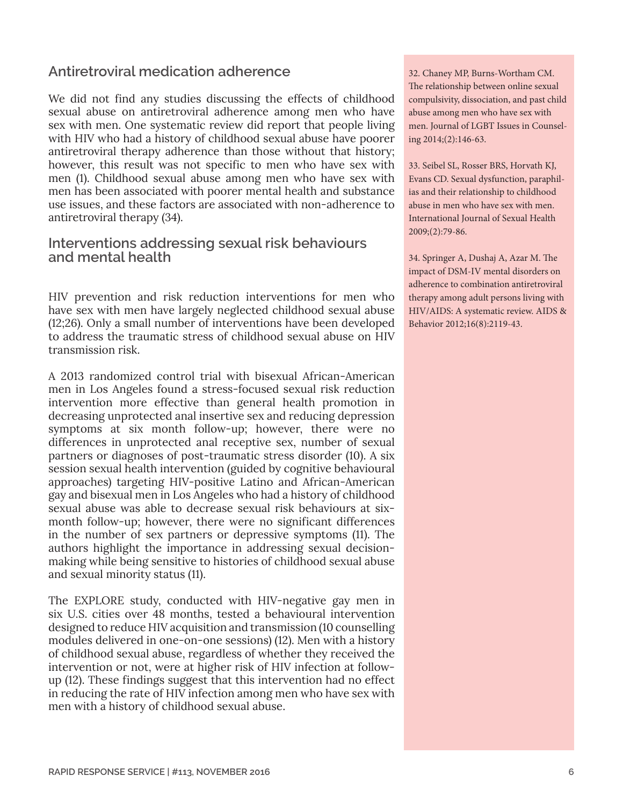### **Antiretroviral medication adherence**

We did not find any studies discussing the effects of childhood sexual abuse on antiretroviral adherence among men who have sex with men. One systematic review did report that people living with HIV who had a history of childhood sexual abuse have poorer antiretroviral therapy adherence than those without that history; however, this result was not specific to men who have sex with men (1). Childhood sexual abuse among men who have sex with men has been associated with poorer mental health and substance use issues, and these factors are associated with non-adherence to antiretroviral therapy (34).

### **Interventions addressing sexual risk behaviours and mental health**

HIV prevention and risk reduction interventions for men who have sex with men have largely neglected childhood sexual abuse (12;26). Only a small number of interventions have been developed to address the traumatic stress of childhood sexual abuse on HIV transmission risk.

A 2013 randomized control trial with bisexual African-American men in Los Angeles found a stress-focused sexual risk reduction intervention more effective than general health promotion in decreasing unprotected anal insertive sex and reducing depression symptoms at six month follow-up; however, there were no differences in unprotected anal receptive sex, number of sexual partners or diagnoses of post-traumatic stress disorder (10). A six session sexual health intervention (guided by cognitive behavioural approaches) targeting HIV-positive Latino and African-American gay and bisexual men in Los Angeles who had a history of childhood sexual abuse was able to decrease sexual risk behaviours at sixmonth follow-up; however, there were no significant differences in the number of sex partners or depressive symptoms (11). The authors highlight the importance in addressing sexual decisionmaking while being sensitive to histories of childhood sexual abuse and sexual minority status (11).

The EXPLORE study, conducted with HIV-negative gay men in six U.S. cities over 48 months, tested a behavioural intervention designed to reduce HIV acquisition and transmission (10 counselling modules delivered in one-on-one sessions) (12). Men with a history of childhood sexual abuse, regardless of whether they received the intervention or not, were at higher risk of HIV infection at followup (12). These findings suggest that this intervention had no effect in reducing the rate of HIV infection among men who have sex with men with a history of childhood sexual abuse.

32. Chaney MP, Burns-Wortham CM. The relationship between online sexual compulsivity, dissociation, and past child abuse among men who have sex with men. Journal of LGBT Issues in Counseling 2014;(2):146-63.

33. Seibel SL, Rosser BRS, Horvath KJ, Evans CD. Sexual dysfunction, paraphilias and their relationship to childhood abuse in men who have sex with men. International Journal of Sexual Health 2009;(2):79-86.

34. Springer A, Dushaj A, Azar M. The impact of DSM-IV mental disorders on adherence to combination antiretroviral therapy among adult persons living with HIV/AIDS: A systematic review. AIDS & Behavior 2012;16(8):2119-43.